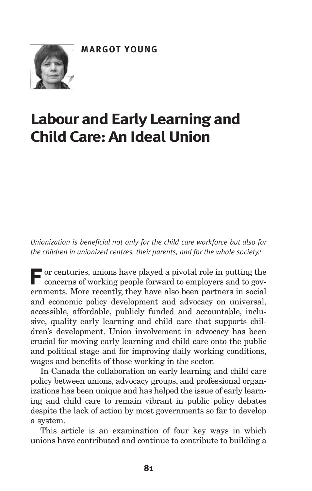

# **Labour and Early Learning and ChildCare:An IdealUnion**

*Unionization is beneficial not only for the child care workforce but also for the children in unionized centres, their parents, and for the whole society.* 1

**For** centuries, unions have played a pivotal role in putting the concerns of working people forward to employers and to governments. More recently, they have also been partners in social and economic policy development and advocacy on universal, accessible, affordable, publicly funded and accountable, inclusive, quality early learning and child care that supports children's development. Union involvement in advocacy has been crucial for moving early learning and child care onto the public and political stage and for improving daily working conditions, wages and benefits of those working in the sector.

In Canada the collaboration on early learning and child care policy between unions, advocacy groups, and professional organizations has been unique and has helped the issue of early learning and child care to remain vibrant in public policy debates despite the lack of action by most governments so far to develop a system.

This article is an examination of four key ways in which unions have contributed and continue to contribute to building a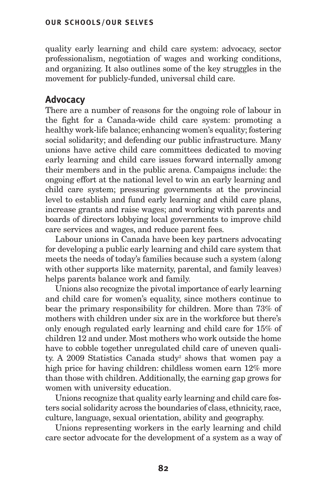quality early learning and child care system: advocacy, sector professionalism, negotiation of wages and working conditions, and organizing. It also outlines some of the key struggles in the movement for publicly-funded, universal child care.

## **Advocacy**

There are a number of reasons for the ongoing role of labour in the fight for a Canada-wide child care system: promoting a healthy work-life balance; enhancing women's equality; fostering social solidarity; and defending our public infrastructure. Many unions have active child care committees dedicated to moving early learning and child care issues forward internally among their members and in the public arena. Campaigns include: the ongoing effort at the national level to win an early learning and child care system; pressuring governments at the provincial level to establish and fund early learning and child care plans, increase grants and raise wages; and working with parents and boards of directors lobbying local governments to improve child care services and wages, and reduce parent fees.

Labour unions in Canada have been key partners advocating for developing a public early learning and child care system that meets the needs of today's families because such a system (along with other supports like maternity, parental, and family leaves) helps parents balance work and family.

Unions also recognize the pivotal importance of early learning and child care for women's equality, since mothers continue to bear the primary responsibility for children. More than 73% of mothers with children under six are in the workforce but there's only enough regulated early learning and child care for 15% of children 12 and under. Most mothers who work outside the home have to cobble together unregulated child care of uneven quality. A 2009 Statistics Canada study<sup>2</sup> shows that women pay a high price for having children: childless women earn 12% more than those with children. Additionally, the earning gap grows for women with university education.

Unions recognize that quality early learning and child care fosters social solidarity across the boundaries of class, ethnicity, race, culture, language, sexual orientation, ability and geography.

Unions representing workers in the early learning and child care sector advocate for the development of a system as a way of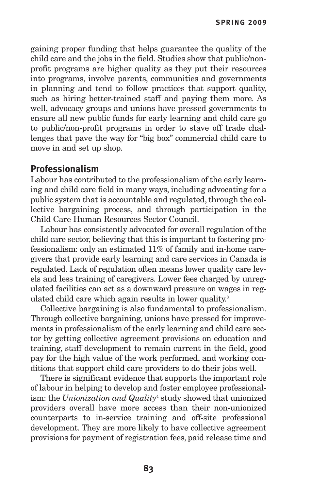gaining proper funding that helps guarantee the quality of the child care and the jobs in the field. Studies show that public/nonprofit programs are higher quality as they put their resources into programs, involve parents, communities and governments in planning and tend to follow practices that support quality, such as hiring better-trained staff and paying them more. As well, advocacy groups and unions have pressed governments to ensure all new public funds for early learning and child care go to public/non-profit programs in order to stave off trade challenges that pave the way for "big box" commercial child care to move in and set up shop.

### **Professionalism**

Labour has contributed to the professionalism of the early learning and child care field in many ways, including advocating for a public system that is accountable and regulated, through the collective bargaining process, and through participation in the Child Care Human Resources Sector Council.

Labour has consistently advocated for overall regulation of the child care sector, believing that this is important to fostering professionalism: only an estimated 11% of family and in-home caregivers that provide early learning and care services in Canada is regulated. Lack of regulation often means lower quality care levels and less training of caregivers. Lower fees charged by unregulated facilities can act as a downward pressure on wages in regulated child care which again results in lower quality. 3

Collective bargaining is also fundamental to professionalism. Through collective bargaining, unions have pressed for improvements in professionalism of the early learning and child care sector by getting collective agreement provisions on education and training, staff development to remain current in the field, good pay for the high value of the work performed, and working conditions that support child care providers to do their jobs well.

There is significant evidence that supports the important role of labour in helping to develop and foster employee professionalism: the *Unionization and Quality*<sup>4</sup> study showed that unionized providers overall have more access than their non-unionized counterparts to in-service training and off-site professional development. They are more likely to have collective agreement provisions for payment of registration fees, paid release time and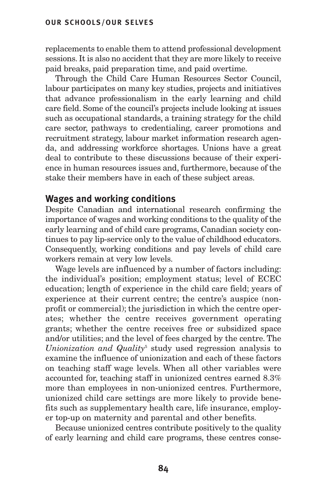#### **OUR SCHOOLS/OUR SELVES**

replacements to enable them to attend professional development sessions. It is also no accident that they are more likely to receive paid breaks, paid preparation time, and paid overtime.

Through the Child Care Human Resources Sector Council, labour participates on many key studies, projects and initiatives that advance professionalism in the early learning and child care field. Some of the council's projects include looking at issues such as occupational standards, a training strategy for the child care sector, pathways to credentialing, career promotions and recruitment strategy, labour market information research agenda, and addressing workforce shortages. Unions have a great deal to contribute to these discussions because of their experience in human resources issues and, furthermore, because of the stake their members have in each of these subject areas.

#### **Wages and working conditions**

Despite Canadian and international research confirming the importance of wages and working conditions to the quality of the early learning and of child care programs, Canadian society continues to pay lip-service only to the value of childhood educators. Consequently, working conditions and pay levels of child care workers remain at very low levels.

Wage levels are influenced by a number of factors including: the individual's position; employment status; level of ECEC education; length of experience in the child care field; years of experience at their current centre; the centre's auspice (nonprofit or commercial); the jurisdiction in which the centre operates; whether the centre receives government operating grants; whether the centre receives free or subsidized space and/or utilities; and the level of fees charged by the centre. The *Unionization and Quality*<sup>5</sup> study used regression analysis to examine the influence of unionization and each of these factors on teaching staff wage levels. When all other variables were accounted for, teaching staff in unionized centres earned 8.3% more than employees in non-unionized centres. Furthermore, unionized child care settings are more likely to provide benefits such as supplementary health care, life insurance, employer top-up on maternity and parental and other benefits.

Because unionized centres contribute positively to the quality of early learning and child care programs, these centres conse-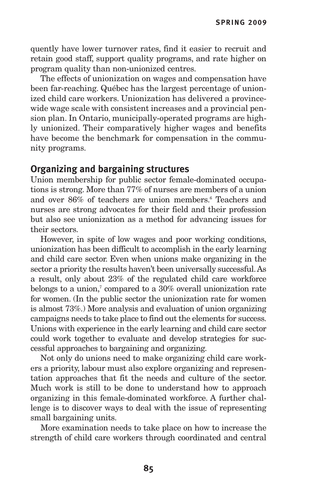**SPRING 2009**

quently have lower turnover rates, find it easier to recruit and retain good staff, support quality programs, and rate higher on program quality than non-unionized centres.

The effects of unionization on wages and compensation have been far-reaching. Québec has the largest percentage of unionized child care workers. Unionization has delivered a provincewide wage scale with consistent increases and a provincial pension plan. In Ontario, municipally-operated programs are highly unionized. Their comparatively higher wages and benefits have become the benchmark for compensation in the community programs.

#### **Organizing and bargaining structures**

Union membership for public sector female-dominated occupations is strong. More than 77% of nurses are members of a union and over 86% of teachers are union members. <sup>6</sup> Teachers and nurses are strong advocates for their field and their profession but also see unionization as a method for advancing issues for their sectors.

However, in spite of low wages and poor working conditions, unionization has been difficult to accomplish in the early learning and child care sector. Even when unions make organizing in the sector a priority the results haven't been universally successful.As a result, only about 23% of the regulated child care workforce belongs to a union, <sup>7</sup> compared to a 30% overall unionization rate for women. (In the public sector the unionization rate for women is almost 73%.) More analysis and evaluation of union organizing campaigns needs to take place to find out the elements for success. Unions with experience in the early learning and child care sector could work together to evaluate and develop strategies for successful approaches to bargaining and organizing.

Not only do unions need to make organizing child care workers a priority, labour must also explore organizing and representation approaches that fit the needs and culture of the sector. Much work is still to be done to understand how to approach organizing in this female-dominated workforce. A further challenge is to discover ways to deal with the issue of representing small bargaining units.

More examination needs to take place on how to increase the strength of child care workers through coordinated and central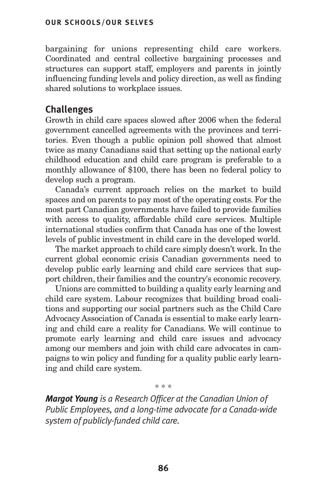bargaining for unions representing child care workers. Coordinated and central collective bargaining processes and structures can support staff, employers and parents in jointly influencing funding levels and policy direction, as well as finding shared solutions to workplace issues.

## **Challenges**

Growth in child care spaces slowed after 2006 when the federal government cancelled agreements with the provinces and territories. Even though a public opinion poll showed that almost twice as many Canadians said that setting up the national early childhood education and child care program is preferable to a monthly allowance of \$100, there has been no federal policy to develop such a program.

Canada's current approach relies on the market to build spaces and on parents to pay most of the operating costs. For the most part Canadian governments have failed to provide families with access to quality, affordable child care services. Multiple international studies confirm that Canada has one of the lowest levels of public investment in child care in the developed world.

The market approach to child care simply doesn't work. In the current global economic crisis Canadian governments need to develop public early learning and child care services that support children, their families and the country's economic recovery.

Unions are committed to building a quality early learning and child care system. Labour recognizes that building broad coalitions and supporting our social partners such as the Child Care Advocacy Association of Canada is essential to make early learning and child care a reality for Canadians. We will continue to promote early learning and child care issues and advocacy among our members and join with child care advocates in campaigns to win policy and funding for a quality public early learning and child care system.

*Margot Young is a Research Officer at the Canadian Union of Public Employees, and a long-time advocate for a Canada-wide system of publicly-funded child care.*

\* \* \*